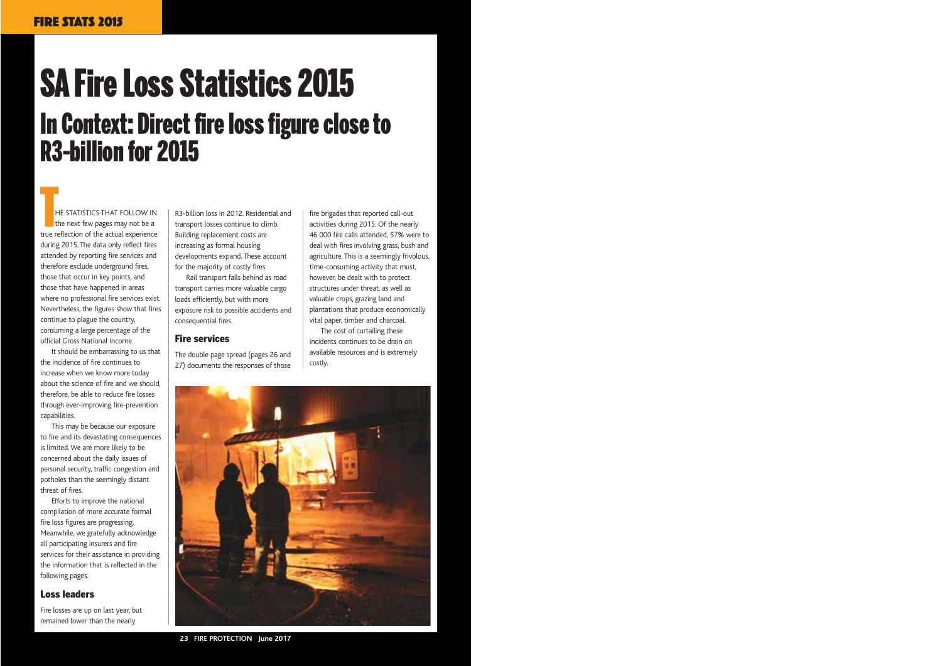# SA Fire Loss Statistics 2015 In Context: Direct fire loss figure close to R3-billion for 2015

HE STATISTICS THAT FOLLOW IN the next few pages may not be a THE STATISTICS THAT FOLLOW IN<br>
the next few pages may not be a<br>
true reflection of the actual experience during 2015. The data only reflect fires attended by reporting fire services and therefore exclude underground fires, those that occur in key points, and those that have happened in areas where no professional fire services exist. Nevertheless, the figures show that fires continue to plague the country, consuming a large percentage of the official Gross National Income.

It should be embarrassing to us that the incidence of fire continues to increase when we know more today about the science of fire and we should, therefore, be able to reduce fire losses through ever-improving fire-prevention capabilities.

This may be because our exposure to fire and its devastating consequences is limited. We are more likely to be concerned about the daily issues of personal security, traffic congestion and potholes than the seemingly distant threat of fires.

Efforts to improve the national compilation of more accurate formal fire loss figures are progressing. Meanwhile, we gratefully acknowledge all participating insurers and fire services for their assistance in providing the information that is reflected in the following pages.

#### Loss leaders

Fire losses are up on last year, but remained lower than the nearly

R3-billion loss in 2012. Residential and transport losses continue to climb. Building replacement costs are increasing as formal housing developments expand. These account for the majority of costly fires.

Rail transport falls behind as road transport carries more valuable cargo loads efficiently, but with more exposure risk to possible accidents and consequential fires.

#### Fire services

The double page spread (pages 26 and 27) documents the responses of those

fire brigades that reported call-out activities during 2015. Of the nearly 46 000 fire calls attended, 57% were to deal with fires involving grass, bush and agriculture. This is a seemingly frivolous, time-consuming activity that must, however, be dealt with to protect structures under threat, as well as valuable crops, grazing land and plantations that produce economically vital paper, timber and charcoal.

The cost of curtailing these incidents continues to be drain on available resources and is extremely costly.



**23 FIRE PROTECTION June 2017**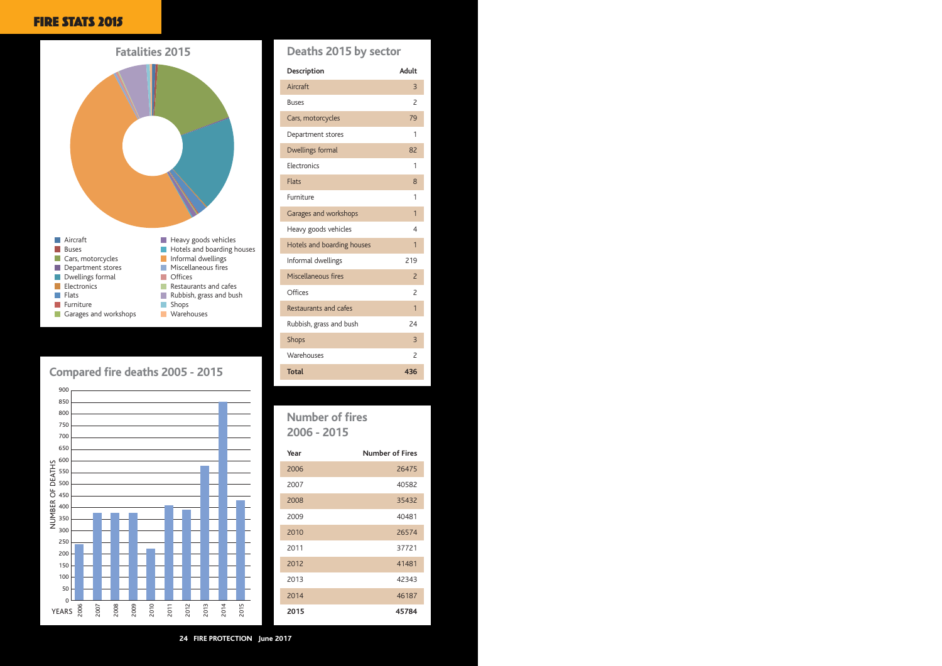#### FIRE STATS 2015



#### **Compared fire deaths 2005 - 2015**



#### **Deaths 2015 by sector**

| Description                  | Adult                    |
|------------------------------|--------------------------|
| Aircraft                     | 3                        |
| <b>Buses</b>                 | 2                        |
| Cars, motorcycles            | 79                       |
| Department stores            | 1                        |
| Dwellings formal             | 82                       |
| Flectronics                  | 1                        |
| <b>Flats</b>                 | 8                        |
| Furniture                    | 1                        |
| Garages and workshops        | 1                        |
| Heavy goods vehicles         | $\overline{4}$           |
| Hotels and boarding houses   | $\overline{1}$           |
| Informal dwellings           | 219                      |
| Miscellaneous fires          | $\overline{2}$           |
| Offices                      | 2                        |
| <b>Restaurants and cafes</b> | 1                        |
| Rubbish, grass and bush      | 24                       |
| <b>Shops</b>                 | 3                        |
| Warehouses                   | $\overline{\phantom{0}}$ |
| <b>Total</b>                 | 436                      |
|                              |                          |

### **Number of fires 2006 - 2015**

| Year | <b>Number of Fires</b> |
|------|------------------------|
| 2006 | 26475                  |
| 2007 | 40582                  |
| 2008 | 35432                  |
| 2009 | 40481                  |
| 2010 | 26574                  |
| 2011 | 37721                  |
| 2012 | 41481                  |
| 2013 | 42343                  |
| 2014 | 46187                  |
| 2015 | 45784                  |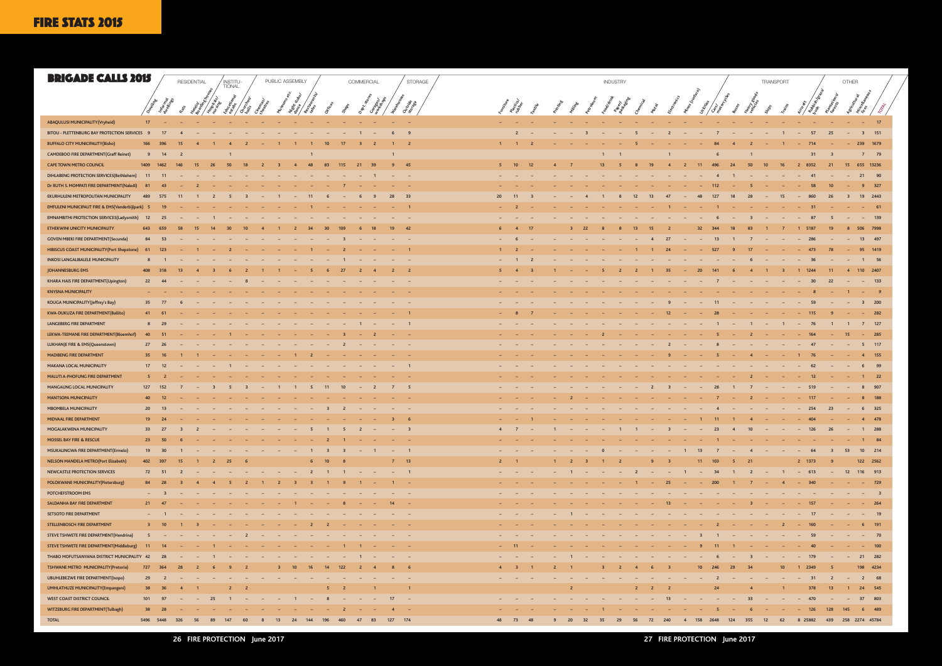| <b>BRIGADE CALLS 2015</b>                                   |                 |                |                         | RESIDENTIAL    |                          |                        |                            |                          | PUBLIC ASSEMBLY                         |                               |               |                               | COMMERCIAL                                                 |                |                          | STORAGE |                          |                            |        |                |                |               | <b>INDUSTRY</b>          |                |                                   |                                        |                        |                                            |                            | TRANSPORT                    |                                   |                               | OTHER                    |                                                                             |  |
|-------------------------------------------------------------|-----------------|----------------|-------------------------|----------------|--------------------------|------------------------|----------------------------|--------------------------|-----------------------------------------|-------------------------------|---------------|-------------------------------|------------------------------------------------------------|----------------|--------------------------|---------|--------------------------|----------------------------|--------|----------------|----------------|---------------|--------------------------|----------------|-----------------------------------|----------------------------------------|------------------------|--------------------------------------------|----------------------------|------------------------------|-----------------------------------|-------------------------------|--------------------------|-----------------------------------------------------------------------------|--|
|                                                             |                 |                |                         |                |                          | INSTITU-<br>TIONAL     |                            |                          | $\boldsymbol{\check{e}}^C$              |                               |               |                               |                                                            |                |                          |         |                          |                            |        |                |                |               |                          |                |                                   |                                        | INDOR                  |                                            |                            |                              |                                   |                               |                          |                                                                             |  |
|                                                             |                 |                |                         |                |                          |                        |                            |                          |                                         |                               |               |                               |                                                            |                |                          |         |                          |                            |        |                |                |               |                          |                |                                   | Tines (su                              |                        |                                            |                            |                              |                                   |                               |                          |                                                                             |  |
|                                                             |                 |                |                         |                |                          |                        |                            |                          |                                         |                               |               |                               |                                                            |                |                          |         |                          |                            |        |                |                |               |                          |                |                                   |                                        |                        |                                            |                            |                              |                                   |                               |                          |                                                                             |  |
| ABAQULUSI MUNICIPALITY (Vryheid)                            | 17 <sup>2</sup> | $\sim$         |                         | $\sim$         |                          | $\sim$                 | <b>Contract Contract</b>   | $\sim$                   | <b>Contract</b><br><b>Contract</b>      | $\sim$                        | $\sim$        | $\sim$ $-$                    | <b>Contract Contract</b>                                   |                | <b>Contract Contract</b> |         | $\sim$                   | $\sim$                     |        |                |                |               |                          |                |                                   |                                        |                        |                                            | <b>Contract Contract</b>   | <b>Contract Contract</b>     | <b>Contract</b>                   | and the state of the state of |                          | $    17$                                                                    |  |
| BITOU - PLETTENBURG BAY PROTECTION SERVICES                 | $\mathbf{q}$    |                |                         |                |                          |                        |                            |                          |                                         |                               |               |                               |                                                            |                |                          |         |                          | $\overline{2}$             |        |                |                |               |                          |                |                                   |                                        |                        |                                            |                            |                              | $\sim$                            | 57<br>25                      | $\sim$                   | 3 151                                                                       |  |
| <b>BUFFALO CITY MUNICIPALITY(Bisho)</b>                     |                 |                |                         |                |                          |                        |                            |                          |                                         |                               |               |                               |                                                            |                | $\overline{2}$           |         | $\mathbf{1}$             |                            |        |                |                |               |                          |                |                                   |                                        |                        |                                            |                            |                              |                                   | 714                           |                          | 1679<br>239                                                                 |  |
| <b>CAMDEBOO FIRE DEPARTMENT (Graff Reinet)</b>              | 9               |                |                         |                |                          |                        |                            |                          |                                         |                               |               |                               |                                                            |                |                          |         |                          |                            |        |                |                |               |                          |                |                                   |                                        |                        |                                            |                            |                              |                                   | 31                            |                          | 7 79                                                                        |  |
| <b>CAPE TOWN METRO COUNCIL</b>                              | 1409            | 1462           |                         | 15             | -26                      |                        |                            |                          | $\overline{4}$                          | 48                            | 83            | 115                           | 21<br>39                                                   | -9             | 45                       |         | -5                       | 10 <sup>°</sup>            | 12     |                | - 7            | 13            |                          |                |                                   |                                        | 11                     | 496<br>-24                                 | 50                         | 10<br>16                     | $\overline{2}$                    | 8352<br>21                    |                          | 15 655 13236                                                                |  |
| DIHLABENG PROTECTION SERVICES(Bethlehem)                    |                 |                |                         |                |                          |                        |                            |                          |                                         |                               |               |                               |                                                            |                |                          |         |                          |                            |        |                |                |               |                          |                |                                   |                                        |                        |                                            |                            |                              |                                   |                               |                          | 21<br>90                                                                    |  |
| Dr RUTH S. MOMPATI FIRE DEPARTMENT (Naledi)                 |                 |                |                         |                |                          |                        |                            |                          |                                         |                               |               |                               |                                                            |                |                          |         |                          |                            |        |                |                |               |                          |                |                                   |                                        |                        |                                            |                            |                              |                                   |                               |                          | 327                                                                         |  |
| EKURHULENI METROPOLITAN MUNICIPALITY                        | 489             | 575            |                         |                |                          |                        |                            |                          |                                         | 11                            |               |                               |                                                            | 28             | 33                       |         | 20                       | 11                         |        |                |                |               |                          |                |                                   |                                        |                        |                                            |                            | 15                           |                                   | 26                            |                          | 2443<br>19                                                                  |  |
| <b>EMFULENI MUNICIPALIT FIRE &amp; EMS(Vanderbijlpark)</b>  |                 |                |                         |                |                          |                        |                            |                          |                                         |                               |               |                               |                                                            |                |                          |         |                          |                            |        |                |                |               |                          |                |                                   |                                        |                        |                                            |                            |                              |                                   |                               |                          | 61                                                                          |  |
| <b>EMNAMBITHI PROTECTION SERVICES (Ladysmith)</b>           | 12              |                |                         |                |                          |                        |                            |                          |                                         |                               |               |                               |                                                            |                |                          |         |                          |                            |        |                |                |               |                          |                |                                   |                                        |                        |                                            |                            |                              |                                   |                               |                          | 139                                                                         |  |
| ETHEKWINI UNICITY MUNICIPALITY                              | 643             |                |                         |                |                          |                        |                            |                          |                                         |                               |               |                               |                                                            | 19             | 42                       |         |                          | $\overline{4}$             | 17     |                |                |               |                          |                |                                   |                                        |                        |                                            |                            |                              |                                   | 5187                          |                          | 506<br>7998                                                                 |  |
| <b>GOVEN MBEKI FIRE DEPARTMENT (Secunda)</b>                |                 |                |                         |                |                          |                        |                            |                          |                                         |                               |               |                               |                                                            |                |                          |         |                          |                            |        |                |                |               |                          |                |                                   |                                        |                        |                                            |                            |                              |                                   |                               |                          | 13<br>497                                                                   |  |
| HIBISCUS COAST MUNICIPALITY (Port Shepstone)                |                 | $-12$          |                         |                |                          |                        |                            |                          |                                         |                               |               |                               |                                                            |                |                          |         |                          | - 2                        |        |                |                |               |                          |                |                                   |                                        |                        |                                            |                            |                              |                                   | 473<br>78                     |                          | 95 1419                                                                     |  |
| <b>INKOSI LANGALIBALELE MUNICIPALITY</b>                    |                 |                |                         |                |                          |                        |                            |                          |                                         |                               |               |                               |                                                            |                |                          |         |                          |                            |        |                |                |               |                          |                |                                   |                                        |                        |                                            |                            |                              |                                   | -36                           |                          | 56<br>$\mathbf{1}$                                                          |  |
| <b>JOHANNESBURG EMS</b>                                     | 408             |                |                         |                |                          |                        |                            |                          |                                         |                               |               |                               |                                                            | <sup>2</sup>   | $\overline{2}$           |         | -5                       |                            |        |                |                |               |                          |                |                                   |                                        | 20                     |                                            |                            |                              |                                   | 1244<br>11                    | $\overline{4}$           | 110 2407                                                                    |  |
| KHARA HAIS FIRE DEPARTMENT (Upington)                       | 22              |                |                         |                |                          |                        |                            |                          |                                         |                               |               |                               |                                                            |                |                          |         |                          |                            |        |                |                |               |                          |                |                                   |                                        |                        |                                            |                            |                              |                                   | 22<br>30                      | $\sim$                   | $-$ 133                                                                     |  |
| <b>KNYSNA MUNICIPALITY</b>                                  |                 |                |                         |                |                          |                        |                            |                          |                                         |                               |               |                               |                                                            |                |                          |         |                          |                            |        |                |                |               |                          |                |                                   |                                        |                        |                                            |                            |                              |                                   |                               |                          | - 9<br>$\sim$                                                               |  |
| KOUGA MUNICIPALITY (Jeffrey's Bay)                          | 35              |                |                         |                |                          |                        |                            |                          |                                         |                               |               |                               |                                                            |                |                          |         |                          |                            |        |                |                |               |                          |                |                                   |                                        |                        |                                            |                            |                              |                                   |                               |                          | 200<br>-3-                                                                  |  |
| <b>KWA-DUKUZA FIRE DEPARTMENT (Ballito)</b>                 | 41              |                |                         |                |                          |                        |                            |                          |                                         |                               |               |                               |                                                            |                |                          |         |                          |                            |        |                |                |               |                          |                |                                   |                                        |                        |                                            |                            |                              |                                   |                               |                          | 282                                                                         |  |
| LANGEBERG FIRE DEPARTMENT                                   |                 |                |                         |                |                          |                        |                            |                          |                                         |                               |               |                               |                                                            |                | $\overline{1}$           |         |                          |                            |        |                |                |               |                          |                |                                   |                                        |                        |                                            |                            |                              |                                   |                               |                          | 127<br>$\overline{7}$                                                       |  |
| LEKWA-TEEMANE FIRE DEPARTMENT (Bloemhof)                    | 40              |                |                         |                |                          |                        |                            |                          |                                         |                               |               |                               |                                                            |                |                          |         |                          |                            |        |                |                |               |                          |                |                                   |                                        |                        |                                            |                            |                              |                                   |                               | -15                      | 285<br>$\sim$                                                               |  |
| LUKHANJE FIRE & EMS(Queenstown)<br>MADIBENG FIRE DEPARTMENT | 27<br>35        |                |                         |                |                          |                        |                            |                          |                                         |                               |               |                               |                                                            |                |                          |         |                          |                            |        |                |                |               |                          |                |                                   |                                        |                        |                                            |                            |                              |                                   |                               |                          | 5 117<br>155<br>$\overline{4}$                                              |  |
| <b>MAKANA LOCAL MUNICIPALITY</b>                            | 17              |                |                         |                |                          |                        |                            |                          |                                         |                               |               |                               |                                                            |                |                          |         |                          |                            |        |                |                |               |                          |                |                                   |                                        |                        |                                            |                            |                              |                                   |                               |                          | 99                                                                          |  |
| MALUTI A-PHOFUNG FIRE DEPARTMENT                            | 5               |                |                         |                |                          |                        |                            |                          |                                         |                               |               |                               |                                                            |                |                          |         |                          |                            |        |                |                |               |                          |                |                                   |                                        |                        |                                            |                            |                              |                                   |                               |                          | 22                                                                          |  |
| MANGAUNG LOCAL MUNICIPALITY                                 | 127             |                |                         |                |                          |                        |                            |                          |                                         |                               | -11           | 10                            |                                                            |                | - 5                      |         |                          |                            |        |                |                |               |                          |                |                                   |                                        |                        |                                            |                            |                              |                                   | 519                           |                          | 907                                                                         |  |
| <b>MANTSOPA MUNICIPALITY</b>                                | 40              |                |                         |                |                          |                        |                            |                          |                                         |                               |               |                               |                                                            |                |                          |         |                          |                            |        |                |                |               |                          |                |                                   |                                        |                        |                                            |                            |                              |                                   | 117                           |                          | 188<br>-8                                                                   |  |
| <b>MBOMBELA MUNICIPALITY</b>                                | 20              |                |                         |                |                          |                        |                            |                          |                                         |                               |               |                               |                                                            |                |                          |         |                          |                            |        |                |                |               |                          |                |                                   |                                        |                        |                                            |                            |                              |                                   | 254<br>73                     |                          | 325<br>- 6                                                                  |  |
| MIDVAAL FIRE DEPARTMENT                                     | 19              |                |                         |                |                          |                        |                            |                          |                                         |                               |               |                               |                                                            |                |                          |         |                          |                            |        |                |                |               |                          |                |                                   |                                        |                        |                                            |                            |                              |                                   | 404                           |                          | 4 478                                                                       |  |
| MOGALAKWENA MUNICIPALITY                                    | 33 <sup>2</sup> | 27             | $\overline{\mathbf{3}}$ | $\overline{2}$ | $\sim$                   | $\sim$                 | $\sim$                     | $\sim$                   | $\sim$ $-$                              | <b>Common</b>                 |               |                               | $5 \quad 1 \quad 5 \quad 2 \quad -$                        |                | $-3$                     |         | 4                        | $\overline{7}$             | $\sim$ |                | $-$            | $\sim$<br>$-$ | $\mathbf{1}$             | $\overline{1}$ | $\alpha$ and $\alpha$             | $\overline{\mathbf{3}}$<br>$\sim 1000$ | $\alpha = 0.01$        | 23                                         | $4$ 10                     | $\sim$ $ \sim$               | $-$ 126<br>$\sim$ $ \sim$         | 26                            |                          | $- 1 288$                                                                   |  |
| MOSSEL BAY FIRE & RESCUE                                    |                 | 23 50          |                         |                |                          |                        |                            |                          |                                         |                               |               |                               | . 2 1 - .                                                  |                | <b>Service</b> Service   |         |                          |                            |        |                |                |               |                          |                |                                   |                                        | $\sim$ $-$             | $\blacksquare$<br><b>Contract</b>          | <b>Service</b>             | $\sim$ $ \sim$               | the company of the company        |                               |                          | $- 1 84$                                                                    |  |
| MSUKALINGWA FIRE DEPARTMENT(Ermelo)                         | 19              |                |                         |                | $\sim$ $-$               | $\sim$ $-$             |                            |                          | $   -$ 1 3 3                            |                               |               |                               | $- - 1$                                                    |                | $ -$ 1                   |         |                          | $\sim$                     |        |                |                | $\Omega$      | $\sim 100$               |                |                                   | $   1$ 13                              |                        |                                            |                            | $7 - 4 - -$                  | $- 64$                            |                               | $\overline{\mathbf{3}}$  | 53 10 214                                                                   |  |
| <b>NELSON MANDELA METRO(Port Elizabeth)</b>                 | 402             | - 397          |                         |                | $\overline{2}$           | 25                     |                            |                          |                                         |                               |               |                               |                                                            |                | $7$ 13                   |         | $2^{\circ}$              |                            |        |                |                |               | $\overline{2}$           |                | -9<br>- 3                         |                                        | 11                     | 103<br>- 5                                 | 21                         |                              |                                   | 2 1373                        |                          | 122 2562                                                                    |  |
| NEWCASTLE PROTECTION SERVICES                               |                 | 72 51          | $\overline{2}$          | $\sim$ $ \sim$ |                          |                        |                            |                          |                                         |                               |               |                               | ----------2 1 1 --                                         |                | $-1$ $1$                 |         |                          | $\sim$                     |        |                | $1 - -$        | $\sim 100$    | $-$ 2                    |                |                                   |                                        | $ -$ 1 $-$ 34 1 2 $-$  |                                            |                            |                              | $1 - 613$                         |                               |                          | $-$ 12 116 913                                                              |  |
| POLOKWANE MUNICIPALITY (Pietersburg)                        |                 | 84 28          |                         | $\overline{4}$ | $\overline{4}$           | $-5$                   | $\overline{\mathbf{2}}$    | $\sim$ 1                 | $2 \t3 \t3$                             |                               | $1 \quad 9$   |                               | $-1$ $-$                                                   |                | $1 - 1$                  |         |                          |                            |        |                |                |               |                          |                | <b>Common</b>                     | 25<br><b>Contract Contract</b>         | $-200$                 | $\blacksquare$                             | $\overline{7}$             | <b>Contract</b>              | $-340$<br>$\overline{4}$          |                               | $\sim$ $ \sim$           | $ -$ 729                                                                    |  |
| POTCHEFSTROOM EMS                                           | $\sim 100$      |                |                         |                |                          |                        | $\overline{\phantom{0}}$   | $\sim$                   | $\sim$                                  |                               |               | $\sim$                        |                                                            |                |                          |         |                          |                            |        |                |                |               |                          |                |                                   |                                        |                        |                                            |                            |                              |                                   |                               |                          | $-3$                                                                        |  |
| SALDANHA BAY FIRE DEPARTMENT                                | 21 47           |                |                         |                |                          |                        | $\sim$ $ \sim$             | $\sim 100$               | $\sim$                                  | $\sim$ 1 $\sim$ $\sim$        | <b>Common</b> | $\overline{\phantom{a}}$ 8    | $\sim$ $-$                                                 | 14             |                          |         |                          |                            |        |                |                |               |                          |                |                                   | 13<br>$\sim$ $-$                       | $\sim$ $ \sim$         | $\sim$                                     |                            | $\sim$ $ \sim$<br>$\sim$ $-$ |                                   | $- 157$                       | $\sim$ $ \sim$           | $-264$                                                                      |  |
| SETSOTO FIRE DEPARTMENT                                     | $\sim$ 10 $\pm$ |                |                         |                | the company              |                        | the company of the company |                          | <b>Contract Contract</b>                | and the state of the state of |               | and the state of the state of | <b>Service</b>                                             |                |                          |         |                          |                            |        |                |                |               |                          |                |                                   | $\sim$                                 | $\sim$                 | $\sim$<br>$\sim$                           | $\sim$                     | $\sim 100$                   | $- 17$<br>$\sim$ $ \sim$          |                               | <b>Contract Contract</b> | $ -$ 19                                                                     |  |
| STELLENBOSCH FIRE DEPARTMENT                                |                 | $3 \t 10$      |                         | - 3            | $\sim$                   |                        |                            |                          |                                         |                               |               |                               | . 2 2 - - -                                                |                | the contract of          |         |                          |                            |        |                |                |               |                          |                |                                   |                                        |                        | $2 - 2$                                    | and the state of the state |                              | $\overline{2}$<br><b>Contract</b> | 160                           |                          | $- 6$ 191                                                                   |  |
| STEVE TSHWETE FIRE DEPARTMENT(Hendrina)                     | 5 <sup>5</sup>  |                |                         |                |                          |                        | $\overline{2}$             | <b>Contract Contract</b> | and the state of the state of the state |                               |               |                               |                                                            |                |                          |         |                          |                            |        |                |                |               |                          |                | $\sim$ $-$                        | $\sim$                                 | $-3$                   | $\overline{1}$<br><b>Contract Contract</b> | $\sim$ $-$                 | $\sim$ $-$                   |                                   | $-59$                         |                          | $- 70$                                                                      |  |
| STEVE TSHWETE FIRE DEPARTMENT(Middleburg)                   | 11              |                |                         |                |                          |                        |                            |                          |                                         |                               |               |                               |                                                            |                |                          |         |                          | 11                         |        |                |                |               |                          |                |                                   |                                        |                        |                                            |                            |                              |                                   | 40                            |                          | $- 100$                                                                     |  |
| THABO MOFUTSANYANA DISTRICT MUNICIPALITY 42                 |                 | 28             |                         |                | $\overline{1}$           | $\sim$ 100 $-$ 100 $-$ | $\sim$ $-$                 | $\sim$ $-$               |                                         | $\sim$ $-$                    | $\sim$ $-$    | $\sim$ $-$                    | $\overline{1}$<br><b>Contract</b>                          |                |                          |         |                          | $\sim$                     |        |                |                | $\sim$ $-$    | $\sim$ $-$               |                | $\sim$                            | $\sim$ $-$<br>$\sim$ $-$               |                        |                                            | $\overline{\mathbf{3}}$    | and the contract of the con- | $- 179$                           |                               | $\sim$ $-$               | $- 21 282$                                                                  |  |
| TSHWANE METRO MUNICIPALITY (Pretoria)                       | 727             | 364            | 28                      |                |                          |                        |                            |                          | 10 <sup>°</sup>                         | 16                            | 14 122        |                               | $\overline{2}$<br>$\overline{4}$                           | 8              | $6^{\circ}$              |         | 4                        | $\overline{\phantom{a}}$ 3 |        | $\overline{2}$ |                |               | $\overline{2}$           | $\overline{4}$ | $-6$                              | - 3                                    | 10 <sup>1</sup><br>246 | - 29                                       | - 34                       |                              | 10 <sup>°</sup>                   | 1 2349                        |                          | 198 4234                                                                    |  |
| <b>UBUHLEBEZWE FIRE DEPARTMENT(Ixopo)</b>                   | 29              | $\overline{2}$ |                         | $\sim$         | $\sim$                   |                        | $\sim$                     | $\sim$                   | $\sim$                                  | $\sim$                        | $\sim$        | $\sim$ $-$                    | $\sim$<br>$\sim$                                           | $\sim$ 10 $\,$ |                          |         |                          | $\sim$                     |        |                |                |               | $\sim$                   | $\sim$         | $\sim$                            | $\sim$<br>$\sim$                       | $\sim$ $ \sim$         | $\overline{\mathbf{2}}$<br>$\sim$          | $\sim$ $ \sim$             | <b>Contract Contract</b>     | $-$ 31<br>$\sim$ $ \sim$          | $\overline{\mathbf{2}}$       |                          | $-268$                                                                      |  |
| <b>UMHLATHUZE MUNICIPALITY (Empangeni)</b>                  | 38              | 36             | $\overline{4}$          | $\overline{1}$ |                          | $2 \t2$                |                            |                          |                                         |                               |               | $5 \t2$                       | $\overline{1}$                                             |                | $\overline{1}$           |         |                          |                            |        |                | $\overline{2}$ |               |                          |                | $2 \t2 \t2$                       |                                        |                        | 24                                         | $\overline{4}$             |                              | $\overline{1}$                    | 378<br>13 <sup>°</sup>        |                          | 1 24 545                                                                    |  |
| <b>WEST COAST DISTRICT COUNCIL</b>                          | 101             | 97             |                         | <b>Service</b> | 25                       | $\overline{1}$         |                            |                          |                                         |                               |               |                               | $    1$ $ 8$ $  -$                                         | 17             | $\sim 100$               |         | $\overline{\phantom{0}}$ |                            |        |                |                |               |                          |                | <b>Contract Contract Contract</b> | 13<br>$\sim$ $ \sim$                   | $\sim 100$             | $\sim 100$<br><b>Contract Contract</b>     | 33 <sup>2</sup>            |                              | $   470$                          |                               | $\sim$ $ \sim$           | $-37$ 803                                                                   |  |
| WITZEBURG FIRE DEPARTMENT(Tulbagh)                          | 38              | 28             |                         |                | <b>Contract Contract</b> | <b>Contract</b>        | <b>Contract</b>            |                          |                                         |                               |               |                               | . And the state of the state $\sim$ 2011 and 2011 and 2011 |                | $4 -$                    |         |                          |                            |        |                |                |               | <b>Contract Contract</b> |                |                                   |                                        |                        |                                            |                            | $6 - - - - 126$              |                                   | 128                           | 145                      | $6$ 489                                                                     |  |
| <b>TOTAL</b>                                                | 5496 5448       |                |                         |                |                          |                        |                            |                          |                                         |                               |               |                               | 326 56 89 147 60 8 13 24 144 196 460 47 83 127 174         |                |                          |         | 48 73 48                 |                            |        |                |                |               |                          |                |                                   |                                        |                        |                                            |                            |                              |                                   |                               |                          | 9 20 32 35 29 56 72 240 4 158 2648 124 355 12 62 8 25882 439 258 2274 45784 |  |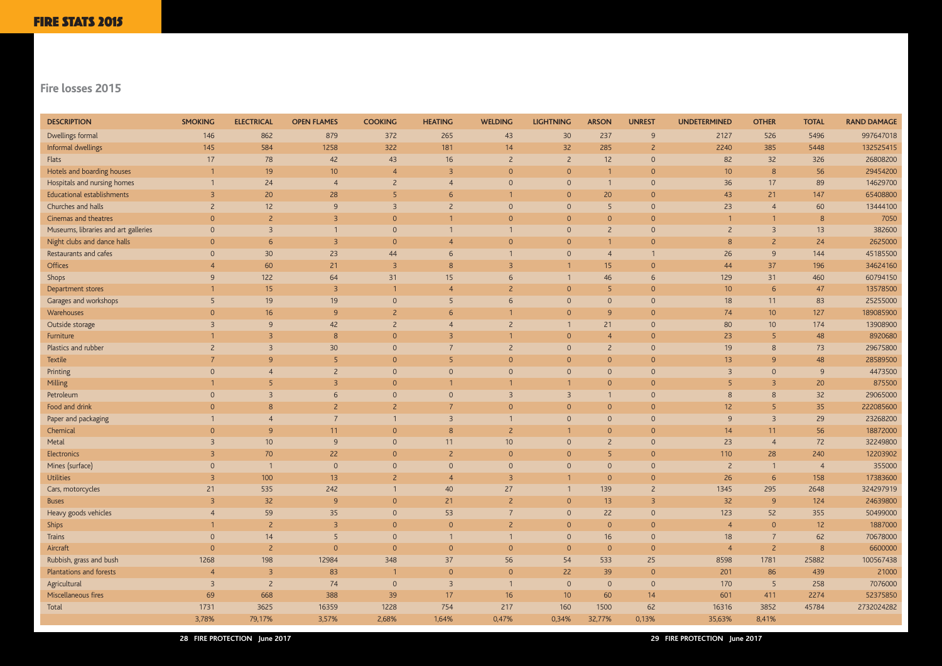#### **Fire losses 2015**

| <b>DESCRIPTION</b>                   | <b>SMOKING</b> | <b>ELECTRICAL</b> | <b>OPEN FLAMES</b> | <b>COOKING</b> | <b>HEATING</b> | <b>WELDING</b> | <b>LIGHTNING</b> | <b>ARSON</b>    | <b>UNREST</b>  | <b>UNDETERMINED</b> | <b>OTHER</b>   | <b>TOTAL</b>    | <b>RAND DAMAGE</b> |
|--------------------------------------|----------------|-------------------|--------------------|----------------|----------------|----------------|------------------|-----------------|----------------|---------------------|----------------|-----------------|--------------------|
| Dwellings formal                     | 146            | 862               | 879                | 372            | 265            | 43             | 30               | 237             | 9              | 2127                | 526            | 5496            | 997647018          |
| Informal dwellings                   | 145            | 584               | 1258               | 322            | 181            | 14             | 32               | 285             | $\overline{2}$ | 2240                | 385            | 5448            | 132525415          |
| Flats                                | 17             | 78                | 42                 | 43             | 16             |                | $\overline{2}$   | 12              | $\overline{0}$ | 82                  | 32             | 326             | 26808200           |
| Hotels and boarding houses           |                | 19                | 10 <sup>°</sup>    | $\overline{A}$ | $\overline{3}$ | $\overline{0}$ | $\mathbf{O}$     |                 | $\overline{0}$ | 10 <sup>°</sup>     | 8              | 56              | 29454200           |
| Hospitals and nursing homes          |                | 24                | $\overline{4}$     | 2              |                | $\Omega$       | $\Omega$         |                 | $\overline{0}$ | 36                  | 17             | 89              | 14629700           |
| Educational establishments           |                | 20                | 28                 |                |                |                | $\Omega$         | 20              | $\mathbf{0}$   | 43                  | 21             | 147             | 65408800           |
| Churches and halls                   |                | 12                | 9                  | $\mathcal{B}$  |                | $\Omega$       | $\Omega$         | 5               | $\overline{0}$ | 23                  |                | 60              | 13444100           |
| Cinemas and theatres                 | $\Omega$       | $\overline{2}$    | 3                  | $\Omega$       |                | $\Omega$       | $\Omega$         | $\Omega$        | $\overline{0}$ |                     |                | 8               | 7050               |
| Museums, libraries and art galleries | $\Omega$       | $\mathcal{R}$     |                    | $\Omega$       |                |                | $\Omega$         | $\overline{2}$  | $\overline{0}$ |                     | $\mathcal{R}$  | 13              | 382600             |
| Night clubs and dance halls          |                | 6                 | 3                  | $\Omega$       |                |                | $\Omega$         |                 | $\Omega$       | 8                   |                | 24              | 2625000            |
| Restaurants and cafes                |                | 30                | 23                 | 44             | 6              |                | $\Omega$         | $\overline{4}$  |                | 26                  | $\overline{9}$ | 144             | 45185500           |
| Offices                              |                | 60                | 21                 | $\overline{3}$ |                |                |                  | 15 <sup>2</sup> | $\overline{0}$ | 44                  | 37             | 196             | 34624160           |
| Shops                                | 9              | 122               | 64                 | 31             | 15             |                |                  | 46              | 6              | 129                 | 31             | 460             | 60794150           |
| Department stores                    |                | 15                | 3                  |                |                |                | $\Omega$         | 5               | $\overline{0}$ | 10 <sup>°</sup>     | 6              | 47              | 13578500           |
| Garages and workshops                |                | 19                | 19                 | $\Omega$       |                |                | $\Omega$         | $\Omega$        | $\overline{0}$ | 18                  | 11             | 83              | 25255000           |
| Warehouses                           |                | 16                | $\mathsf{q}$       |                |                |                | $\Omega$         | $\overline{9}$  | $\overline{0}$ | 74                  | 10             | 127             | 189085900          |
| Outside storage                      |                | 9                 | 42                 |                |                |                |                  | 21              | $\overline{0}$ | 80                  | 10             | 174             | 13908900           |
| Furniture                            |                |                   | 8                  | $\Omega$       |                |                | $\Omega$         | $\overline{4}$  | $\Omega$       | 23                  |                | 48              | 8920680            |
| Plastics and rubber                  |                |                   | 30                 | $\Omega$       |                |                | $\Omega$         | $\overline{2}$  | $\overline{0}$ | 19                  | 8              | 73              | 29675800           |
| <b>Textile</b>                       |                | $\alpha$          | -5                 | $\Omega$       |                | $\Omega$       | $\Omega$         | $\Omega$        | $\overline{0}$ | 13                  | $\mathsf{q}$   | 48              | 28589500           |
| Printing                             |                |                   |                    | $\Omega$       |                | $\Omega$       | $\mathbf{0}$     | $\Omega$        | $\overline{0}$ | 3                   | $\Omega$       | 9               | 4473500            |
| <b>Milling</b>                       |                |                   |                    | $\Omega$       |                |                |                  | $\Omega$        | $\Omega$       |                     |                | 20              | 875500             |
| Petroleum                            |                |                   | 6                  | $\Omega$       |                |                | 3                |                 | $\overline{0}$ | 8                   |                | 32              | 29065000           |
| Food and drink                       |                |                   |                    |                |                |                | $\Omega$         | $\Omega$        | $\overline{0}$ | 12                  |                | 35              | 222085600          |
| Paper and packaging                  |                |                   |                    |                |                |                | $\overline{0}$   | $\Omega$        | $\overline{0}$ | 9                   | $\overline{3}$ | 29              | 23268200           |
| Chemical                             |                |                   | 11                 | $\Omega$       | 8              |                |                  | $\Omega$        | $\Omega$       | 14                  | 11             | 56              | 18872000           |
| Metal                                |                | 10                | 9                  | $\overline{0}$ | 11             | 10             |                  | $\overline{2}$  | $\circ$        | 23                  | $\overline{4}$ | 72              | 32249800           |
| Electronics                          |                | 70                | 22                 | $\Omega$       |                | $\Omega$       | $\overline{0}$   | 5               | $\mathbf{0}$   | 110                 | 28             | 240             | 12203902           |
| Mines (surface)                      |                |                   | $\Omega$           |                |                |                | $\Omega$         | $\Omega$        | $\Omega$       | $\overline{2}$      |                | $\overline{4}$  | 355000             |
| <b>Utilities</b>                     | $\overline{3}$ | 100               | 13                 | 2              | $\overline{4}$ | $\overline{3}$ |                  | $\overline{O}$  | $\overline{0}$ | 26                  | 6              | 158             | 17383600           |
| Cars, motorcycles                    | 21             | 535               | 242                |                | 40             | $27$           |                  | 139             | $\overline{2}$ | 1345                | 295            | 2648            | 324297919          |
| <b>Buses</b>                         | $\overline{3}$ | 32                | 9                  | $\overline{0}$ | 21             | $\overline{2}$ | $\overline{0}$   | 13              | $\overline{3}$ | 32                  | 9              | 124             | 24639800           |
| Heavy goods vehicles                 |                | 59                | 35                 | $\overline{0}$ | 53             |                | $\overline{O}$   | 22              | $\overline{0}$ | 123                 | 52             | 355             | 50499000           |
| Ships                                |                | $\overline{2}$    | $\overline{3}$     | $\overline{0}$ | $\Omega$       | $2^{\circ}$    | $\overline{0}$   | $\overline{0}$  | $\overline{0}$ | $\overline{4}$      | $\overline{0}$ | 12 <sup>°</sup> | 1887000            |
| Trains                               | $\overline{0}$ | 14                | 5                  | $\overline{0}$ | $\mathbf{1}$   |                | $\mathsf{O}$     | 16              | $\overline{0}$ | 18                  | $\overline{7}$ | 62              | 70678000           |
| Aircraft                             | $\Omega$       | $\overline{2}$    | $\overline{0}$     | $\overline{0}$ | $\overline{0}$ | $\overline{0}$ | $\overline{0}$   | $\overline{0}$  | $\overline{0}$ | $\overline{4}$      | $2^{\circ}$    | 8 <sup>°</sup>  | 6600000            |
| Rubbish, grass and bush              | 1268           | 198               | 12984              | 348            | 37             | 56             | 54               | 533             | 25             | 8598                | 1781           | 25882           | 100567438          |
| Plantations and forests              | $\overline{4}$ | $\overline{3}$    | 83                 | $\mathbf{1}$   | $\Omega$       | $\overline{0}$ | 22               | 39              | $\overline{0}$ | 201                 | 86             | 439             | 21000              |
| Agricultural                         | $\overline{3}$ | $\overline{2}$    | 74                 | $\overline{0}$ | $\overline{3}$ |                | $\overline{0}$   | $\overline{0}$  | $\overline{0}$ | 170                 | 5 <sup>5</sup> | 258             | 7076000            |
| Miscellaneous fires                  | 69             | 668               | 388                | 39             | 17             | 16             | 10 <sup>°</sup>  | 60              | 14             | 601                 | 411            | 2274            | 52375850           |
| Total                                | 1731           | 3625              | 16359              | 1228           | 754            | 217            | 160              | 1500            | 62             | 16316               | 3852           | 45784           | 2732024282         |
|                                      | 3,78%          | 79,17%            | 3,57%              | 2,68%          | 1,64%          | 0,47%          | 0,34%            | 32,77%          | 0,13%          | 35,63%              | 8,41%          |                 |                    |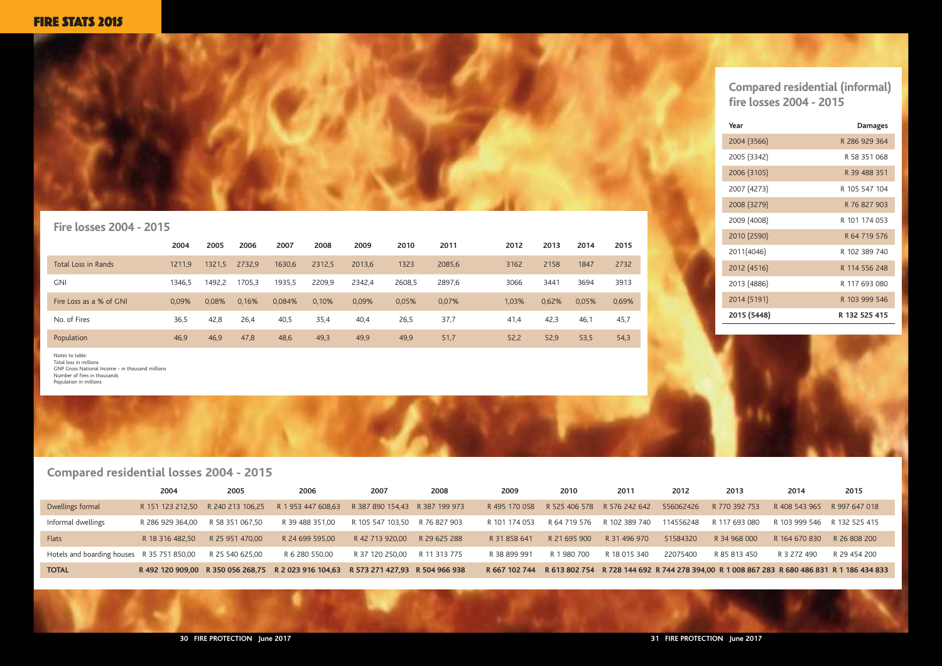

### **Compared residential (informal) fire losses 2004 - 2015**



#### **Fire losses 2004 - 2015**

|                                            | 2004             | 2005                              | 2006                                                                                | 2007                           | 2008         | 2009          | 2010         | 2011                                  | 2012      | 2013          | 2014                        | 2015                                                                                       |
|--------------------------------------------|------------------|-----------------------------------|-------------------------------------------------------------------------------------|--------------------------------|--------------|---------------|--------------|---------------------------------------|-----------|---------------|-----------------------------|--------------------------------------------------------------------------------------------|
| Dwellings formal                           |                  | R 151 123 212.50 R 240 213 106.25 | R 1 953 447 608.63                                                                  | R 387 890 154,43 R 387 199 973 |              | R 495 170 058 |              | R 525 406 578 R 576 242 642 556062426 |           | R 770 392 753 | R 408 543 965 R 997 647 018 |                                                                                            |
| Informal dwellings                         | R 286 929 364.00 | R 58 351 067.50                   | R 39 488 351,00                                                                     | R 105 547 103.50               | R 76 827 903 | R 101 174 053 | R 64 719 576 | R 102 389 740                         | 114556248 | R 117 693 080 | R 103 999 546 R 132 525 415 |                                                                                            |
| Flats                                      | R 18 316 482.50  | R 25 951 470,00                   | R 24 699 595.00                                                                     | R 42 713 920.00                | R 29 625 288 | R 31 858 641  | R 21 695 900 | R 31 496 970                          | 51584320  | R 34 968 000  | R 164 670 830 R 26 808 200  |                                                                                            |
| Hotels and boarding houses R 35 751 850,00 |                  | R 25 540 625,00                   | R 6 280 550,00                                                                      | R 37 120 250.00                | R 11 313 775 | R 38 899 991  | R 1 980 700  | R 18 015 340                          | 22075400  | R 85 813 450  | R 3 272 490                 | R 29 454 200                                                                               |
| <b>TOTAL</b>                               |                  |                                   | R 492 120 909.00 R 350 056 268.75 R 2 023 916 104.63 R 573 271 427.93 R 504 966 938 |                                |              | R 667 102 744 |              |                                       |           |               |                             | R 613 802 754 R 728 144 692 R 744 278 394,00 R 1 008 867 283 R 680 486 831 R 1 186 434 833 |

|                         | 2004   | 2005   | 2006   | 2007   | 2008   | 2009   | 2010   | 2011   | 2012  | 2013  | 2014  | 2015  |
|-------------------------|--------|--------|--------|--------|--------|--------|--------|--------|-------|-------|-------|-------|
| Total Loss in Rands     | 1211,9 | 1321,5 | 2732,9 | 1630,6 | 2312,5 | 2013,6 | 1323   | 2085,6 | 3162  | 2158  | 1847  | 2732  |
| <b>GNI</b>              | 1346.5 | 1492.2 | 1705.3 | 1935,5 | 2209,9 | 2342.4 | 2608,5 | 2897,6 | 3066  | 3441  | 3694  | 3913  |
| Fire Loss as a % of GNI | 0.09%  | 0,08%  | 0,16%  | 0,084% | 0,10%  | 0,09%  | 0,05%  | 0,07%  | 1,03% | 0,62% | 0,05% | 0,69% |
| No. of Fires            | 36,5   | 42,8   | 26,4   | 40,5   | 35,4   | 40,4   | 26,5   | 37,7   | 41,4  | 42,3  | 46,   | 45,7  |
| Population              | 46,9   | 46,9   | 47,8   | 48,6   | 49,3   | 49,9   | 49,9   | 51,7   | 52,2  | 52,9  | 53,5  | 54,3  |

Notes to table: Total loss in millions GNP Gross National Income - in thousand millions Number of fires in thousands Population in millions

| Year        | <b>Damages</b> |
|-------------|----------------|
| 2004 (3566) | R 286 929 364  |
| 2005 (3342) | R 58 351 068   |
| 2006 (3105) | R 39 488 351   |
| 2007 (4273) | R 105 547 104  |
| 2008 (3279) | R 76 827 903   |
| 2009 (4008) | R 101 174 053  |
| 2010 (2590) | R 64 719 576   |
| 2011(4046)  | R 102 389 740  |
| 2012 (4516) | R 114 556 248  |
| 2013 (4886) | R 117 693 080  |
| 2014 (5191) | R 103 999 546  |
| 2015 (5448) | R 132 525 415  |

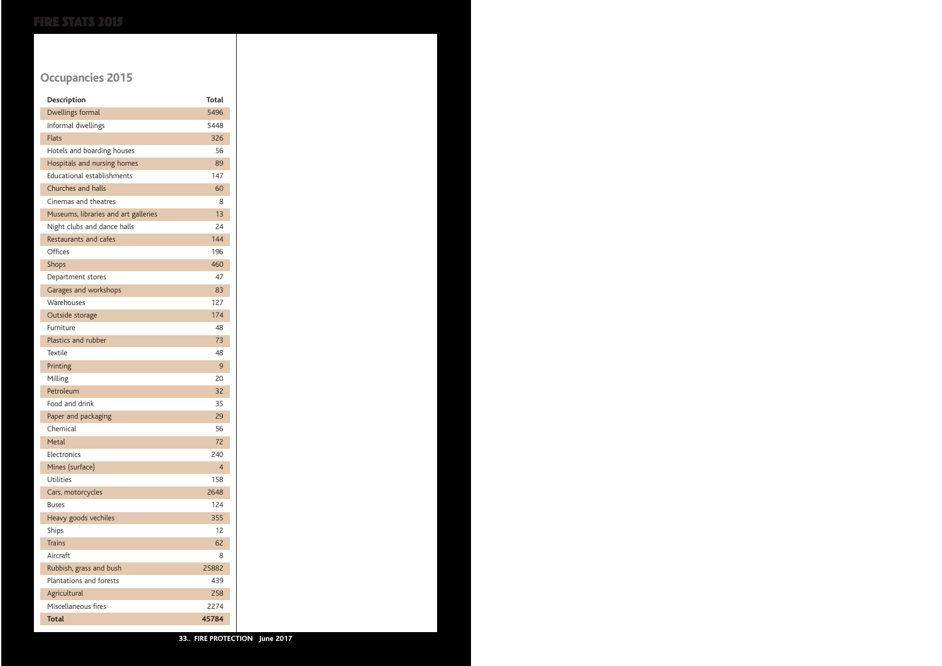# **Occupancies 2015**

| Description                          | <b>Total</b> |
|--------------------------------------|--------------|
| Dwellings formal                     | 5496         |
| Informal dwellings                   | 5448         |
| <b>Flats</b>                         | 326          |
| Hotels and boarding houses           | 56           |
| Hospitals and nursing homes          | 89           |
| <b>Educational establishments</b>    | 147          |
| Churches and halls                   | 60           |
| Cinemas and theatres                 | 8            |
| Museums, libraries and art galleries | 13           |
| Night clubs and dance halls          | 24           |
| Restaurants and cafes                | 144          |
| Offices                              | 196          |
| <b>Shops</b>                         | 460          |
| Department stores                    | 47           |
| Garages and workshops                | 83           |
| Warehouses                           | 127          |
| Outside storage                      | 174          |
| Furniture                            | 48           |
| Plastics and rubber                  | 73           |
| <b>Textile</b>                       | 48           |
| Printing                             | 9            |
| Milling                              | 20           |
| Petroleum                            | 32           |
| Food and drink                       | 35           |
| Paper and packaging                  | 29           |
| Chemical                             | 56           |
| Metal                                | 72           |
| Electronics                          | 240          |
| Mines (surface)                      | 4            |
| Utilities                            | 158          |
| Cars, motorcycles                    | 2648         |
| <b>Buses</b>                         | 124          |
| Heavy goods vechiles                 | 355          |
| Ships                                | 12           |
| <b>Trains</b>                        | 62           |
| Aircraft                             | 8            |
| Rubbish, grass and bush              | 25882        |
| Plantations and forests              | 439          |
| Agricultural                         | 258          |
| Miscellaneous fires                  | 2274         |
| <b>Total</b>                         | 45784        |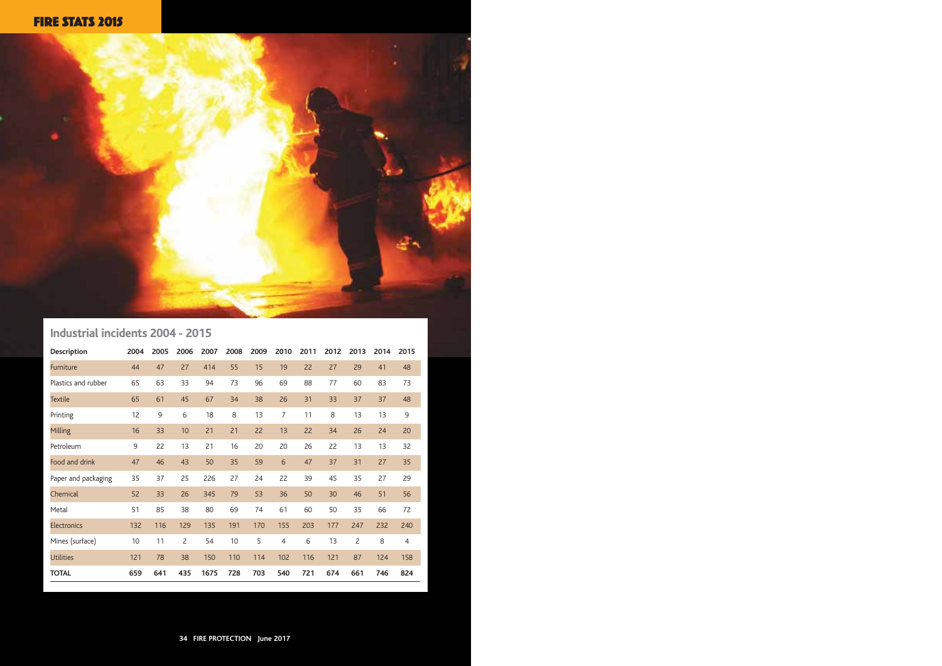# **Industrial incidents 2004 - 2015**

| <b>Description</b>  | 2004 | 2005 | 2006 | 2007 | 2008 | 2009 | 2010           | 2011 | 2012 | 2013           | 2014 | 2015           |
|---------------------|------|------|------|------|------|------|----------------|------|------|----------------|------|----------------|
| Furniture           | 44   | 47   | 27   | 414  | 55   | 15   | 19             | 22   | 27   | 29             | 41   | 48             |
| Plastics and rubber | 65   | 63   | 33   | 94   | 73   | 96   | 69             | 88   | 77   | 60             | 83   | 73             |
| <b>Textile</b>      | 65   | 61   | 45   | 67   | 34   | 38   | 26             | 31   | 33   | 37             | 37   | 48             |
| Printing            | 12   | 9    | 6    | 18   | 8    | 13   | $\overline{7}$ | 11   | 8    | 13             | 13   | 9              |
| Milling             | 16   | 33   | 10   | 21   | 21   | 22   | 13             | 22   | 34   | 26             | 24   | 20             |
| Petroleum           | 9    | 22   | 13   | 21   | 16   | 20   | 20             | 26   | 22   | 13             | 13   | 32             |
| Food and drink      | 47   | 46   | 43   | 50   | 35   | 59   | 6              | 47   | 37   | 31             | 27   | 35             |
| Paper and packaging | 35   | 37   | 25   | 226  | 27   | 24   | 22             | 39   | 45   | 35             | 27   | 29             |
| Chemical            | 52   | 33   | 26   | 345  | 79   | 53   | 36             | 50   | 30   | 46             | 51   | 56             |
| Metal               | 51   | 85   | 38   | 80   | 69   | 74   | 61             | 60   | 50   | 35             | 66   | 72             |
| <b>Electronics</b>  | 132  | 116  | 129  | 135  | 191  | 170  | 155            | 203  | 177  | 247            | 232  | 240            |
| Mines (surface)     | 10   | 11   | 2    | 54   | 10   | 5    | $\overline{4}$ | 6    | 13   | $\overline{c}$ | 8    | $\overline{4}$ |
| <b>Utilities</b>    | 121  | 78   | 38   | 150  | 110  | 114  | 102            | 116  | 121  | 87             | 124  | 158            |
| <b>TOTAL</b>        | 659  | 641  | 435  | 1675 | 728  | 703  | 540            | 721  | 674  | 661            | 746  | 824            |